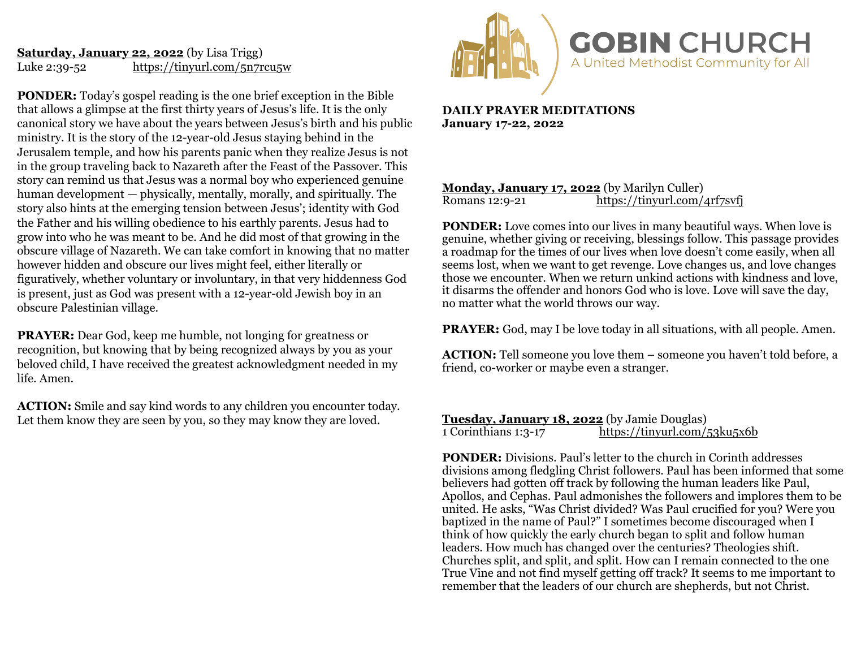## **Saturday, January 22, 2022** (by Lisa Trigg) Luke 2:39-52 <https://tinyurl.com/5n7rcu5w>

**PONDER:** Today's gospel reading is the one brief exception in the Bible that allows a glimpse at the first thirty years of Jesus's life. It is the only canonical story we have about the years between Jesus's birth and his public ministry. It is the story of the 12-year-old Jesus staying behind in the Jerusalem temple, and how his parents panic when they realize Jesus is not in the group traveling back to Nazareth after the Feast of the Passover. This story can remind us that Jesus was a normal boy who experienced genuine human development — physically, mentally, morally, and spiritually. The story also hints at the emerging tension between Jesus'; identity with God the Father and his willing obedience to his earthly parents. Jesus had to grow into who he was meant to be. And he did most of that growing in the obscure village of Nazareth. We can take comfort in knowing that no matter however hidden and obscure our lives might feel, either literally or figuratively, whether voluntary or involuntary, in that very hiddenness God is present, just as God was present with a 12-year-old Jewish boy in an obscure Palestinian village.

**PRAYER:** Dear God, keep me humble, not longing for greatness or recognition, but knowing that by being recognized always by you as your beloved child, I have received the greatest acknowledgment needed in my life. Amen.

**ACTION:** Smile and say kind words to any children you encounter today. Let them know they are seen by you, so they may know they are loved.



**DAILY PRAYER MEDITATIONS January 17-22, 2022** 

### **Monday, January 17, 2022** (by Marilyn Culler)<br>Romans 12:9-21 https://tinyurl.com/ <https://tinyurl.com/4rf7svfj>

**PONDER:** Love comes into our lives in many beautiful ways. When love is genuine, whether giving or receiving, blessings follow. This passage provides a roadmap for the times of our lives when love doesn't come easily, when all seems lost, when we want to get revenge. Love changes us, and love changes those we encounter. When we return unkind actions with kindness and love, it disarms the offender and honors God who is love. Love will save the day, no matter what the world throws our way.

**PRAYER:** God, may I be love today in all situations, with all people. Amen.

**ACTION:** Tell someone you love them – someone you haven't told before, a friend, co-worker or maybe even a stranger.

**Tuesday, January 18, 2022** (by Jamie Douglas) 1 Corinthians 1:3-17 <https://tinyurl.com/53ku5x6b>

**PONDER:** Divisions. Paul's letter to the church in Corinth addresses divisions among fledgling Christ followers. Paul has been informed that some believers had gotten off track by following the human leaders like Paul, Apollos, and Cephas. Paul admonishes the followers and implores them to be united. He asks, "Was Christ divided? Was Paul crucified for you? Were you baptized in the name of Paul?" I sometimes become discouraged when I think of how quickly the early church began to split and follow human leaders. How much has changed over the centuries? Theologies shift. Churches split, and split, and split. How can I remain connected to the one True Vine and not find myself getting off track? It seems to me important to remember that the leaders of our church are shepherds, but not Christ.